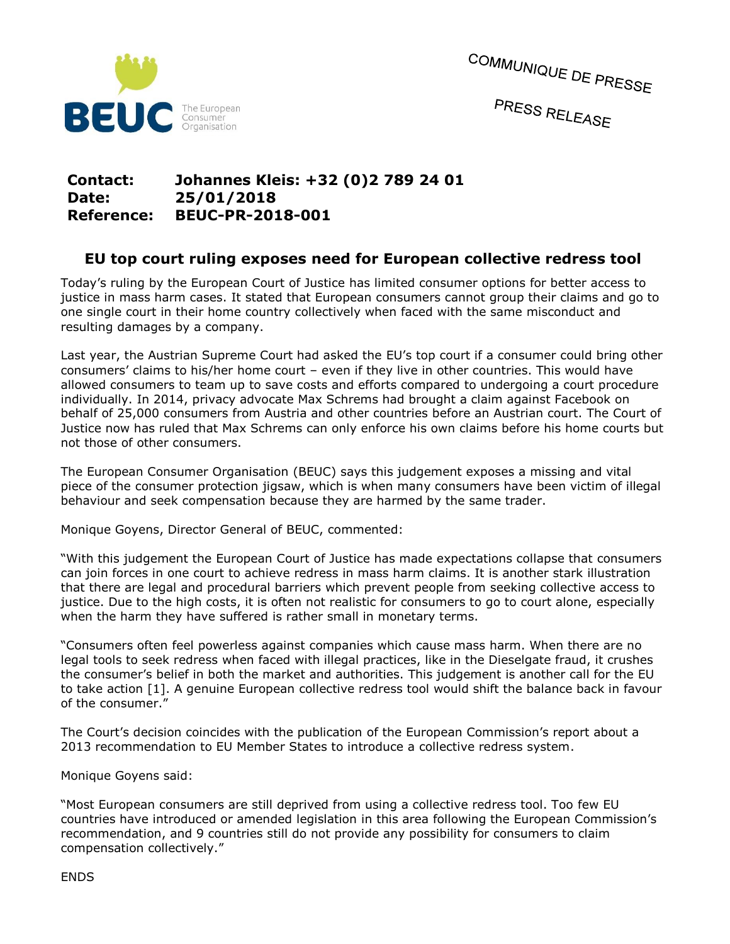

COMMUNIQUE DE PRESSE PRESS RELEASE

## **Contact: Johannes Kleis: +32 (0)2 789 24 01 Date: 25/01/2018 Reference: BEUC-PR-2018-001**

## **EU top court ruling exposes need for European collective redress tool**

Today's ruling by the European Court of Justice has limited consumer options for better access to justice in mass harm cases. It stated that European consumers cannot group their claims and go to one single court in their home country collectively when faced with the same misconduct and resulting damages by a company.

Last year, the Austrian Supreme Court had asked the EU's top court if a consumer could bring other consumers' claims to his/her home court – even if they live in other countries. This would have allowed consumers to team up to save costs and efforts compared to undergoing a court procedure individually. In 2014, privacy advocate Max Schrems had brought a claim against Facebook on behalf of 25,000 consumers from Austria and other countries before an Austrian court. The Court of Justice now has ruled that Max Schrems can only enforce his own claims before his home courts but not those of other consumers.

The European Consumer Organisation (BEUC) says this judgement exposes a missing and vital piece of the consumer protection jigsaw, which is when many consumers have been victim of illegal behaviour and seek compensation because they are harmed by the same trader.

Monique Goyens, Director General of BEUC, commented:

"With this judgement the European Court of Justice has made expectations collapse that consumers can join forces in one court to achieve redress in mass harm claims. It is another stark illustration that there are legal and procedural barriers which prevent people from seeking collective access to justice. Due to the high costs, it is often not realistic for consumers to go to court alone, especially when the harm they have suffered is rather small in monetary terms.

"Consumers often feel powerless against companies which cause mass harm. When there are no legal tools to seek redress when faced with illegal practices, like in the Dieselgate fraud, it crushes the consumer's belief in both the market and authorities. This judgement is another call for the EU to take action [1]. A genuine European collective redress tool would shift the balance back in favour of the consumer."

The Court's decision coincides with the publication of the European Commission's report about a 2013 recommendation to EU Member States to introduce a collective redress system.

Monique Goyens said:

"Most European consumers are still deprived from using a collective redress tool. Too few EU countries have introduced or amended legislation in this area following the European Commission's recommendation, and 9 countries still do not provide any possibility for consumers to claim compensation collectively."